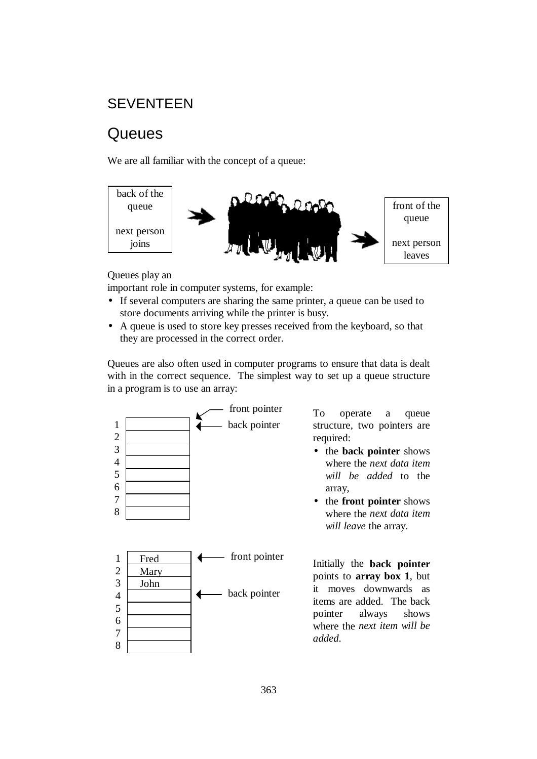## **SEVENTEEN**

# **Queues**

We are all familiar with the concept of a queue:



Queues play an

important role in computer systems, for example:

- If several computers are sharing the same printer, a queue can be used to store documents arriving while the printer is busy.
- A queue is used to store key presses received from the keyboard, so that they are processed in the correct order.

Queues are also often used in computer programs to ensure that data is dealt with in the correct sequence. The simplest way to set up a queue structure in a program is to use an array:



To operate a queue structure, two pointers are required:

- the **back pointer** shows where the *next data item will be added* to the array,
- the **front pointer** shows where the *next data item will leave* the array.

Initially the **back pointer**  points to **array box 1**, but it moves downwards as items are added. The back pointer always shows where the *next item will be added*.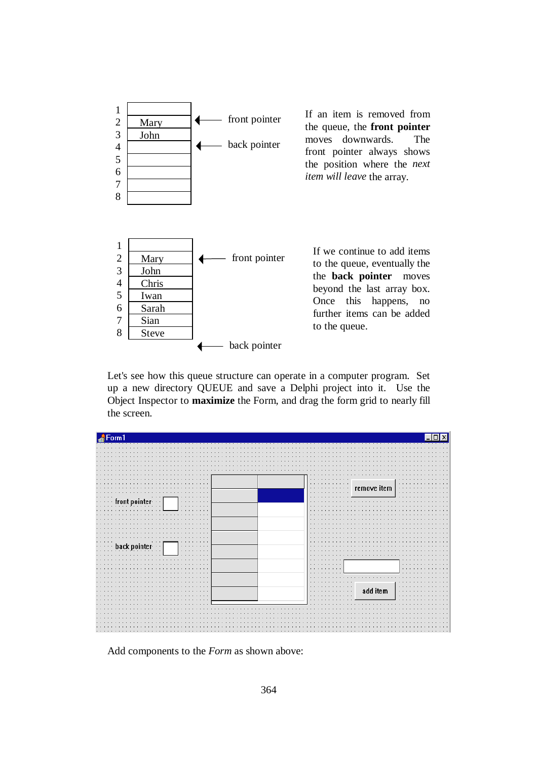

Let's see how this queue structure can operate in a computer program. Set up a new directory QUEUE and save a Delphi project into it. Use the Object Inspector to **maximize** the Form, and drag the form grid to nearly fill the screen.



Add components to the *Form* as shown above: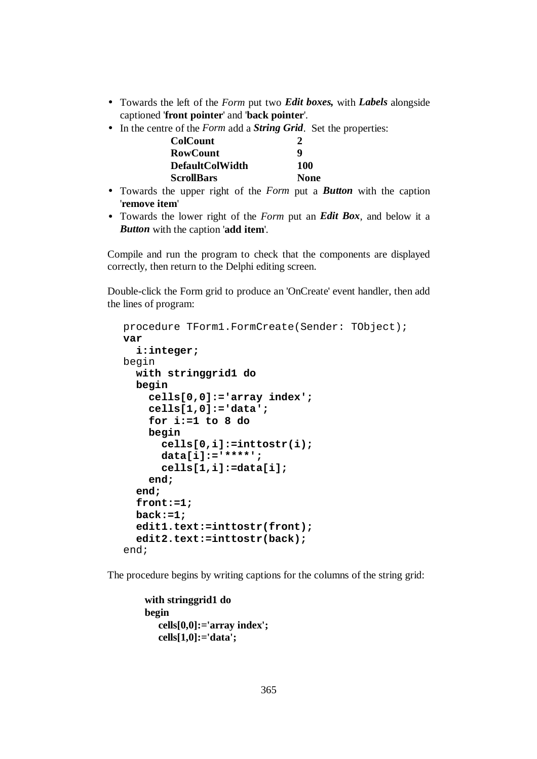- Towards the left of the *Form* put two *Edit boxes,* with *Labels* alongside captioned '**front pointer**' and '**back pointer**'.
- In the centre of the *Form* add a *String Grid*. Set the properties:

| <b>ColCount</b>        |             |
|------------------------|-------------|
| <b>RowCount</b>        | q           |
| <b>DefaultColWidth</b> | 100         |
| <b>ScrollBars</b>      | <b>None</b> |

- Towards the upper right of the *Form* put a *Button* with the caption '**remove item**'
- Towards the lower right of the *Form* put an *Edit Box*, and below it a *Button* with the caption '**add item**'.

Compile and run the program to check that the components are displayed correctly, then return to the Delphi editing screen.

Double-click the Form grid to produce an 'OnCreate' event handler, then add the lines of program:

```
procedure TForm1.FormCreate(Sender: TObject); 
var 
   i:integer; 
begin 
   with stringgrid1 do 
   begin 
     cells[0,0]:='array index'; 
     cells[1,0]:='data'; 
     for i:=1 to 8 do 
     begin 
        cells[0,i]:=inttostr(i); 
       data[i]:='****'; 
        cells[1,i]:=data[i]; 
     end; 
   end; 
   front:=1; 
   back:=1; 
   edit1.text:=inttostr(front); 
   edit2.text:=inttostr(back); 
end;
```
The procedure begins by writing captions for the columns of the string grid:

```
 with stringgrid1 do 
 begin 
    cells[0,0]:='array index'; 
    cells[1,0]:='data';
```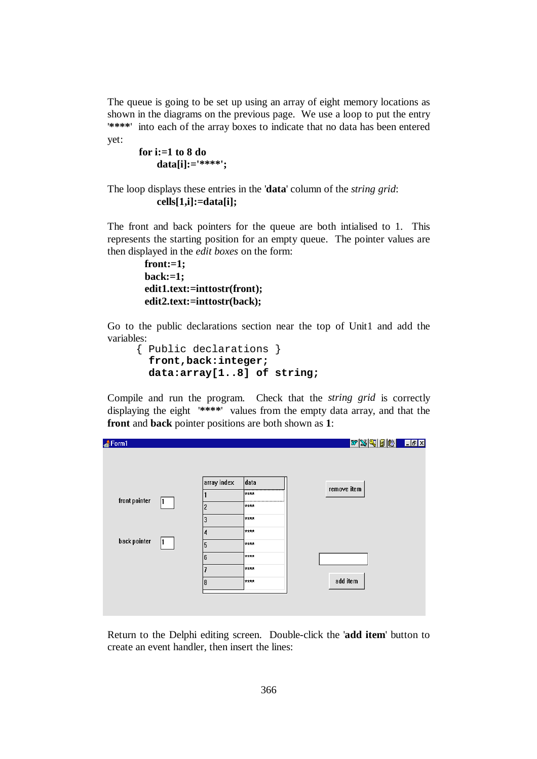The queue is going to be set up using an array of eight memory locations as shown in the diagrams on the previous page. We use a loop to put the entry '**\*\*\*\***' into each of the array boxes to indicate that no data has been entered yet:

```
for i:=1 to 8 do 
     data[i]:='****';
```
### The loop displays these entries in the '**data**' column of the *string grid*: **cells[1,i]:=data[i];**

The front and back pointers for the queue are both intialised to 1. This represents the starting position for an empty queue. The pointer values are then displayed in the *edit boxes* on the form:

```
 front:=1; 
 back:=1; 
 edit1.text:=inttostr(front); 
 edit2.text:=inttostr(back);
```
Go to the public declarations section near the top of Unit1 and add the variables:

```
 { Public declarations } 
   front,back:integer; 
   data:array[1..8] of string;
```
Compile and run the program. Check that the *string grid* is correctly displaying the eight '**\*\*\*\***' values from the empty data array, and that the **front** and **back** pointer positions are both shown as **1**:

| Form1         |   |                |                        | <u>WSGBBBLIER</u> |  |
|---------------|---|----------------|------------------------|-------------------|--|
|               |   |                |                        |                   |  |
|               |   | array index    | data                   | remove item       |  |
|               |   |                | $\left  \right\rangle$ |                   |  |
| front pointer |   | $\overline{c}$ | ****                   |                   |  |
|               |   | 3              | ****                   |                   |  |
|               |   | 4              | ****                   |                   |  |
| back pointer  | ш | 5              | ****                   |                   |  |
|               |   | 6              | ****                   |                   |  |
|               |   | 7              | ****                   |                   |  |
|               |   | 8              | ****                   | add item          |  |
|               |   |                |                        |                   |  |
|               |   |                |                        |                   |  |
|               |   |                |                        |                   |  |

Return to the Delphi editing screen. Double-click the '**add item**' button to create an event handler, then insert the lines: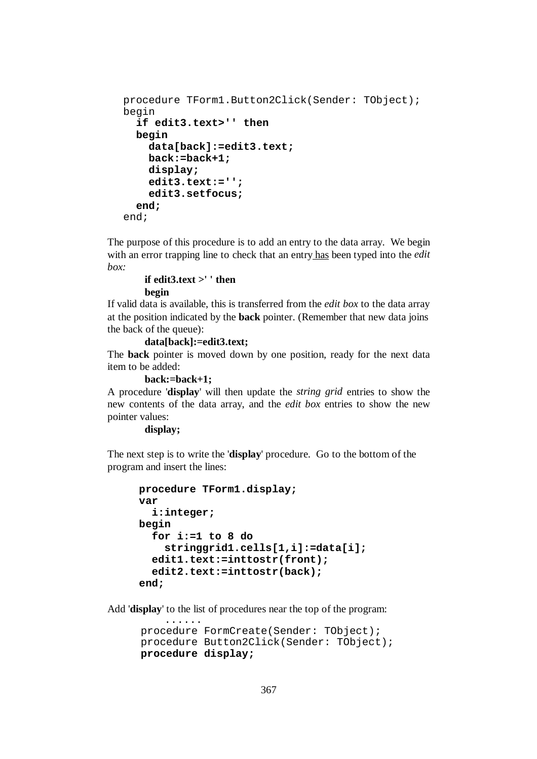```
procedure TForm1.Button2Click(Sender: TObject); 
begin 
   if edit3.text>'' then 
   begin 
     data[back]:=edit3.text; 
     back:=back+1; 
     display; 
     edit3.text:=''; 
     edit3.setfocus; 
   end; 
end;
```
The purpose of this procedure is to add an entry to the data array. We begin with an error trapping line to check that an entry has been typed into the *edit box:* 

### **if edit3.text >' ' then begin**

If valid data is available, this is transferred from the *edit box* to the data array at the position indicated by the **back** pointer. (Remember that new data joins the back of the queue):

 **data[back]:=edit3.text;** 

The **back** pointer is moved down by one position, ready for the next data item to be added:

 **back:=back+1;** 

......

A procedure '**display**' will then update the *string grid* entries to show the new contents of the data array, and the *edit box* entries to show the new pointer values:

 **display;** 

The next step is to write the '**display**' procedure. Go to the bottom of the program and insert the lines:

```
procedure TForm1.display; 
var 
   i:integer; 
begin 
   for i:=1 to 8 do 
     stringgrid1.cells[1,i]:=data[i]; 
   edit1.text:=inttostr(front); 
   edit2.text:=inttostr(back); 
 end;
```
Add '**display**' to the list of procedures near the top of the program:

```
 procedure FormCreate(Sender: TObject); 
 procedure Button2Click(Sender: TObject); 
 procedure display;
```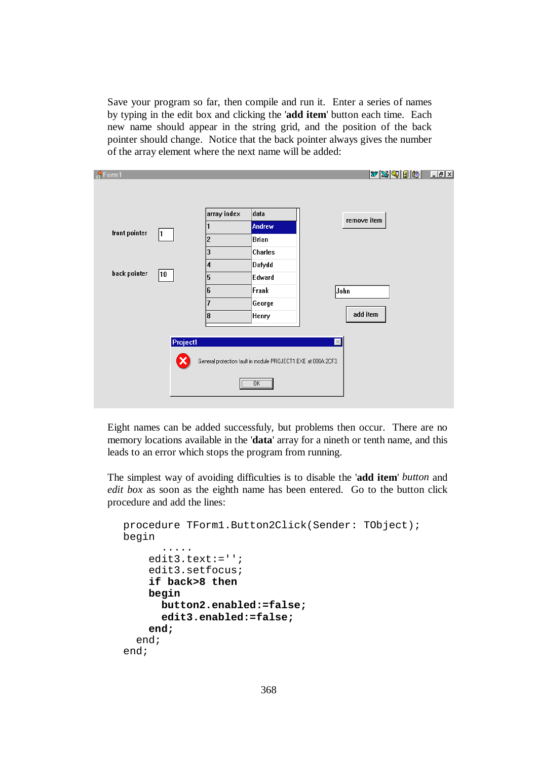Save your program so far, then compile and run it. Enter a series of names by typing in the edit box and clicking the '**add item**' button each time. Each new name should appear in the string grid, and the position of the back pointer should change. Notice that the back pointer always gives the number of the array element where the next name will be added:

| $\frac{4}{10}$ Form1 |          |                |                                                               | $ w \mathbb{S} \mathbb{Q} \mathbb{B} \mathbb{B} $ . | <b>LIEIX</b> |
|----------------------|----------|----------------|---------------------------------------------------------------|-----------------------------------------------------|--------------|
|                      |          |                |                                                               |                                                     |              |
|                      |          | array index    | data                                                          |                                                     |              |
| front pointer        |          |                | Andrew                                                        | remove item                                         |              |
|                      | L        | $\overline{c}$ | <b>Brian</b>                                                  |                                                     |              |
|                      |          | 3              | Charles                                                       |                                                     |              |
|                      |          | 4              | Dafydd                                                        |                                                     |              |
| back pointer         | 10       | 5              | Edward                                                        |                                                     |              |
|                      |          | 6              | Frank                                                         | John                                                |              |
|                      |          | 7              | George                                                        |                                                     |              |
|                      |          | 8              | Henry                                                         | add item                                            |              |
|                      |          |                |                                                               |                                                     |              |
|                      | Project1 |                |                                                               | $\mathbb{X}$                                        |              |
|                      |          |                | General protection fault in module PROJECT1.EXE at 000A:2CF3. |                                                     |              |
|                      |          |                | $\overline{OK}$                                               |                                                     |              |
|                      |          |                |                                                               |                                                     |              |

Eight names can be added successfuly, but problems then occur. There are no memory locations available in the '**data**' array for a nineth or tenth name, and this leads to an error which stops the program from running.

The simplest way of avoiding difficulties is to disable the '**add item**' *button* and *edit box* as soon as the eighth name has been entered. Go to the button click procedure and add the lines:

```
procedure TForm1.Button2Click(Sender: TObject); 
begin 
        ..... 
     edit3.text:=''; 
     edit3.setfocus; 
     if back>8 then 
     begin 
        button2.enabled:=false; 
        edit3.enabled:=false; 
     end; 
   end; 
end;
```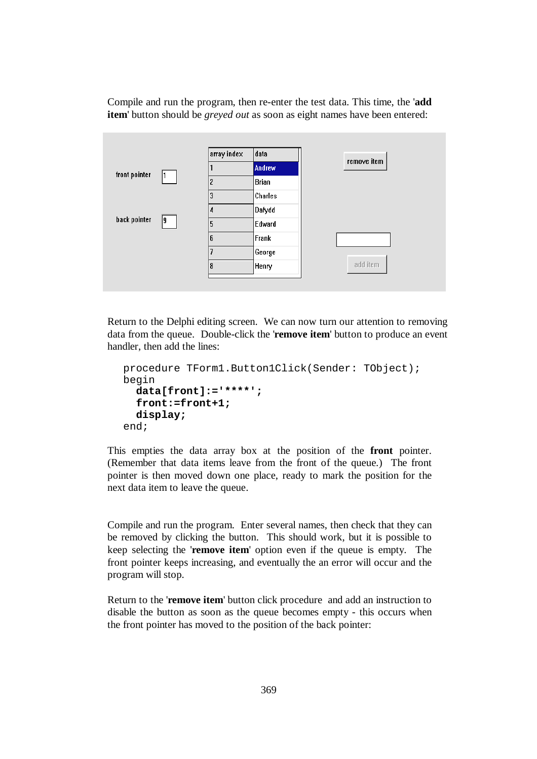Compile and run the program, then re-enter the test data. This time, the '**add item**' button should be *greyed out* as soon as eight names have been entered:



Return to the Delphi editing screen. We can now turn our attention to removing data from the queue. Double-click the '**remove item**' button to produce an event handler, then add the lines:

```
procedure TForm1.Button1Click(Sender: TObject); 
begin 
   data[front]:='****'; 
   front:=front+1; 
   display; 
end;
```
This empties the data array box at the position of the **front** pointer. (Remember that data items leave from the front of the queue.) The front pointer is then moved down one place, ready to mark the position for the next data item to leave the queue.

Compile and run the program. Enter several names, then check that they can be removed by clicking the button. This should work, but it is possible to keep selecting the '**remove item**' option even if the queue is empty. The front pointer keeps increasing, and eventually the an error will occur and the program will stop.

Return to the '**remove item**' button click procedure and add an instruction to disable the button as soon as the queue becomes empty - this occurs when the front pointer has moved to the position of the back pointer: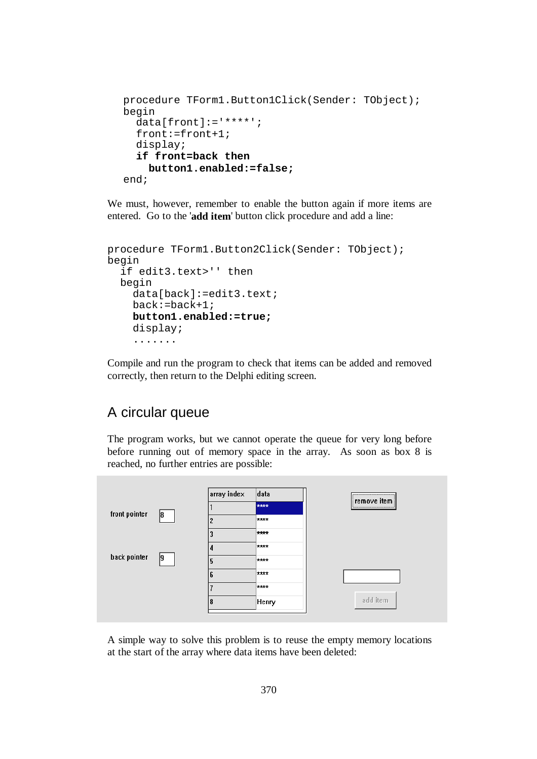```
procedure TForm1.Button1Click(Sender: TObject); 
begin 
   data[front]:='****'; 
   front:=front+1; 
   display; 
   if front=back then 
     button1.enabled:=false; 
end;
```
We must, however, remember to enable the button again if more items are entered. Go to the '**add item**' button click procedure and add a line:

```
procedure TForm1.Button2Click(Sender: TObject); 
begin 
   if edit3.text>'' then 
   begin 
     data[back]:=edit3.text; 
     back:=back+1; 
     button1.enabled:=true;
     display; 
     .......
```
Compile and run the program to check that items can be added and removed correctly, then return to the Delphi editing screen.

## A circular queue

The program works, but we cannot operate the queue for very long before before running out of memory space in the array. As soon as box 8 is reached, no further entries are possible:



A simple way to solve this problem is to reuse the empty memory locations at the start of the array where data items have been deleted: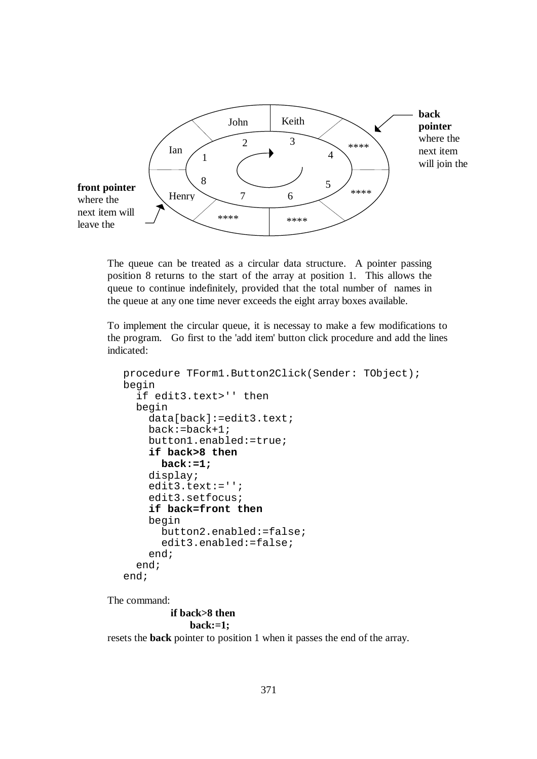

The queue can be treated as a circular data structure. A pointer passing position 8 returns to the start of the array at position 1. This allows the queue to continue indefinitely, provided that the total number of names in the queue at any one time never exceeds the eight array boxes available.

To implement the circular queue, it is necessay to make a few modifications to the program. Go first to the 'add item' button click procedure and add the lines indicated:

```
procedure TForm1.Button2Click(Sender: TObject); 
begin 
   if edit3.text>'' then 
   begin 
     data[back]:=edit3.text; 
     back:=back+1; 
     button1.enabled:=true; 
     if back>8 then 
       back:=1; 
     display; 
     edit3.text:=''; 
     edit3.setfocus; 
     if back=front then
     begin 
       button2.enabled:=false; 
       edit3.enabled:=false; 
     end; 
   end; 
end;
```
The command:

**if back>8 then** 

```
 back:=1;
```
resets the **back** pointer to position 1 when it passes the end of the array.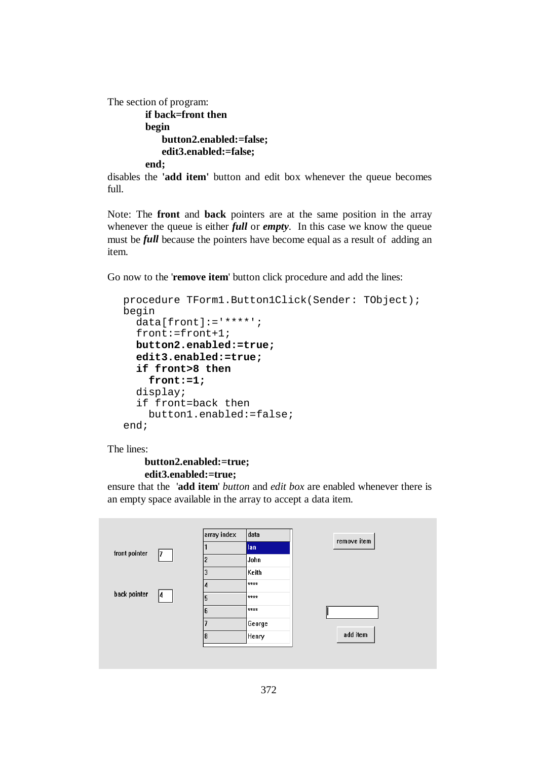```
The section of program: 
          if back=front then
          begin 
              button2.enabled:=false; 
              edit3.enabled:=false; 
          end;
```
disables the **'add item'** button and edit box whenever the queue becomes full.

Note: The **front** and **back** pointers are at the same position in the array whenever the queue is either *full* or *empty*. In this case we know the queue must be *full* because the pointers have become equal as a result of adding an item.

Go now to the '**remove item**' button click procedure and add the lines:

```
procedure TForm1.Button1Click(Sender: TObject); 
begin 
   data[front]:='****'; 
   front:=front+1; 
   button2.enabled:=true; 
   edit3.enabled:=true; 
   if front>8 then 
     front:=1; 
   display; 
   if front=back then 
     button1.enabled:=false; 
end;
```
The lines:

```
 button2.enabled:=true; 
 edit3.enabled:=true;
```
ensure that the '**add item**' *button* and *edit box* are enabled whenever there is an empty space available in the array to accept a data item.

|               |     | array index    | data          | remove item |
|---------------|-----|----------------|---------------|-------------|
| front pointer | 17. |                | <b>Ian</b>    |             |
|               |     | $\overline{2}$ | John          |             |
|               |     | 3              | Keith         |             |
|               |     | д              | $\frac{1}{1}$ |             |
| back pointer  | 14  | 5              | ****          |             |
|               |     | 6              | $\frac{1}{1}$ |             |
|               |     |                | George        |             |
|               |     | 8              | Henry         | add item    |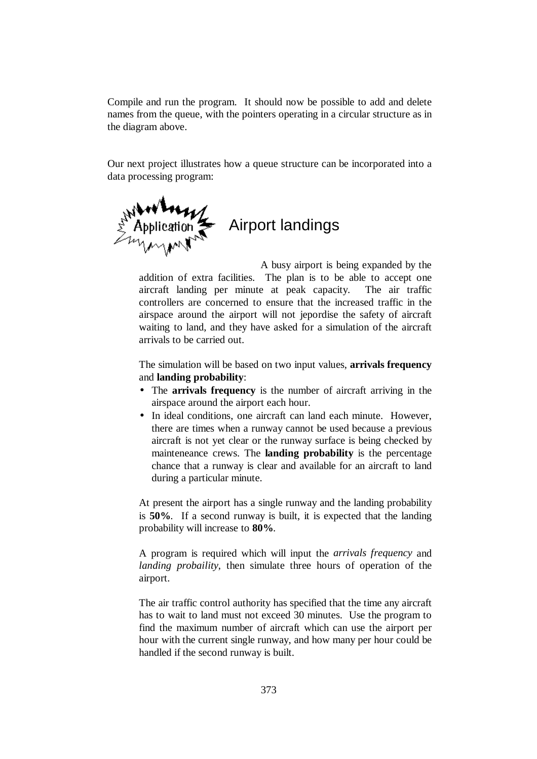Compile and run the program. It should now be possible to add and delete names from the queue, with the pointers operating in a circular structure as in the diagram above.

Our next project illustrates how a queue structure can be incorporated into a data processing program:



A busy airport is being expanded by the addition of extra facilities. The plan is to be able to accept one aircraft landing per minute at peak capacity. The air traffic controllers are concerned to ensure that the increased traffic in the airspace around the airport will not jepordise the safety of aircraft waiting to land, and they have asked for a simulation of the aircraft arrivals to be carried out.

The simulation will be based on two input values, **arrivals frequency**  and **landing probability**:

- The **arrivals frequency** is the number of aircraft arriving in the airspace around the airport each hour.
- In ideal conditions, one aircraft can land each minute. However, there are times when a runway cannot be used because a previous aircraft is not yet clear or the runway surface is being checked by mainteneance crews. The **landing probability** is the percentage chance that a runway is clear and available for an aircraft to land during a particular minute.

At present the airport has a single runway and the landing probability is **50%**. If a second runway is built, it is expected that the landing probability will increase to **80%**.

A program is required which will input the *arrivals frequency* and *landing probaility*, then simulate three hours of operation of the airport.

The air traffic control authority has specified that the time any aircraft has to wait to land must not exceed 30 minutes. Use the program to find the maximum number of aircraft which can use the airport per hour with the current single runway, and how many per hour could be handled if the second runway is built.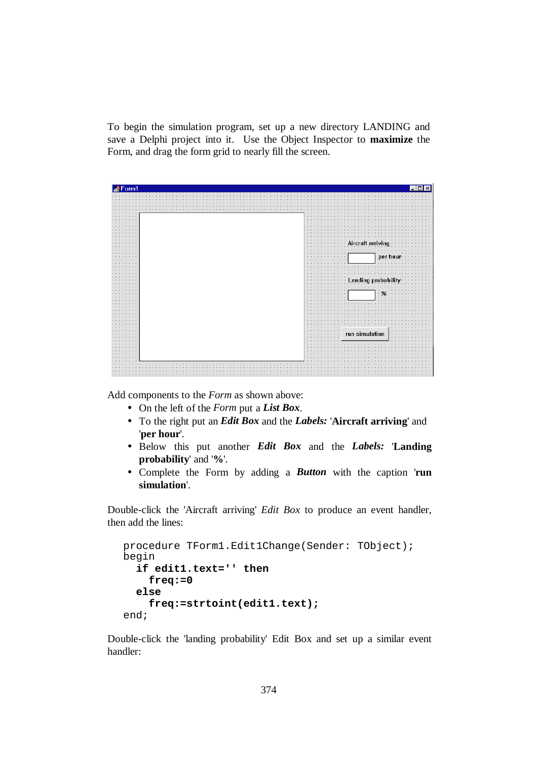To begin the simulation program, set up a new directory LANDING and save a Delphi project into it. Use the Object Inspector to **maximize** the Form, and drag the form grid to nearly fill the screen.

| Form1        |                                                                  |
|--------------|------------------------------------------------------------------|
|              |                                                                  |
|              |                                                                  |
|              |                                                                  |
|              |                                                                  |
|              |                                                                  |
|              |                                                                  |
| $\sim$       |                                                                  |
| 100.00       |                                                                  |
|              |                                                                  |
|              |                                                                  |
|              |                                                                  |
|              |                                                                  |
|              |                                                                  |
|              | Aircraft arriving<br>$\cdot$                                     |
|              |                                                                  |
|              | .                                                                |
|              | $\cdot$<br>٠.                                                    |
|              | per hou<br>$\bullet$                                             |
|              |                                                                  |
|              |                                                                  |
|              |                                                                  |
|              |                                                                  |
|              |                                                                  |
| $\mathbf{r}$ | <b>Landing probability</b>                                       |
|              |                                                                  |
|              |                                                                  |
|              | $\cdot$ %<br>$\cdots$                                            |
|              | $\sim$<br>٠<br>$\rightarrow$                                     |
|              |                                                                  |
|              |                                                                  |
|              |                                                                  |
|              |                                                                  |
|              |                                                                  |
|              |                                                                  |
|              | $\cdots$                                                         |
|              | $\cdots$<br>$\cdots$                                             |
|              | $\sim$<br>run simulation<br>$\sim$ $\sim$ $\sim$<br>$\mathbf{r}$ |
| 1.1.1        | $\cdots$<br>$\cdots$                                             |
|              |                                                                  |
|              |                                                                  |
|              |                                                                  |
|              |                                                                  |
| $\sim$       |                                                                  |
|              |                                                                  |
|              |                                                                  |
|              |                                                                  |
|              |                                                                  |
|              |                                                                  |

Add components to the *Form* as shown above:

- On the left of the *Form* put a *List Box*.
- To the right put an *Edit Box* and the *Labels:* '**Aircraft arriving**' and '**per hour**'.
- Below this put another *Edit Box* and the *Labels:* '**Landing probability**' and '**%**'.
- Complete the Form by adding a *Button* with the caption '**run simulation**'.

Double-click the 'Aircraft arriving' *Edit Box* to produce an event handler, then add the lines:

```
procedure TForm1.Edit1Change(Sender: TObject); 
begin 
   if edit1.text='' then 
     freq:=0 
   else 
     freq:=strtoint(edit1.text); 
end;
```
Double-click the 'landing probability' Edit Box and set up a similar event handler: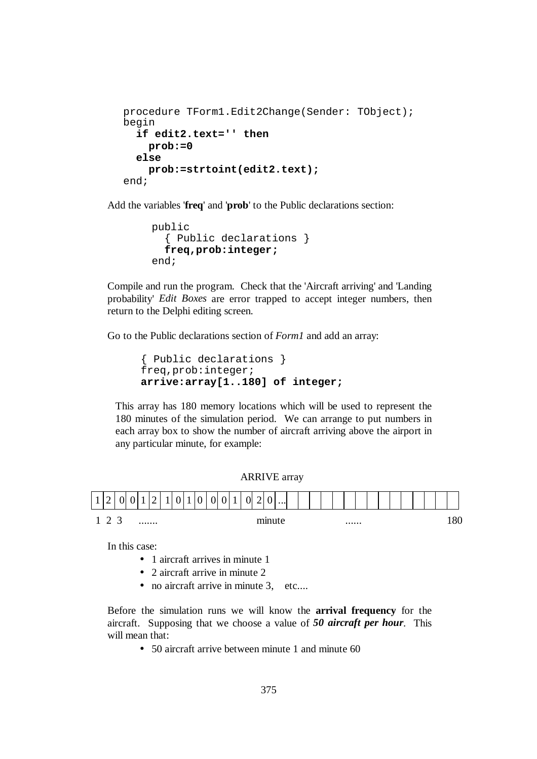```
procedure TForm1.Edit2Change(Sender: TObject); 
begin 
   if edit2.text='' then 
     prob:=0 
   else 
     prob:=strtoint(edit2.text); 
end;
```
Add the variables '**freq**' and '**prob**' to the Public declarations section:

```
 public 
   { Public declarations } 
   freq,prob:integer; 
 end;
```
Compile and run the program. Check that the 'Aircraft arriving' and 'Landing probability' *Edit Boxes* are error trapped to accept integer numbers, then return to the Delphi editing screen.

Go to the Public declarations section of *Form1* and add an array:

```
 { Public declarations } 
 freq,prob:integer; 
 arrive:array[1..180] of integer;
```
This array has 180 memory locations which will be used to represent the 180 minutes of the simulation period. We can arrange to put numbers in each array box to show the number of aircraft arriving above the airport in any particular minute, for example:

ARRIVE array



In this case:

- 1 aircraft arrives in minute 1
- 2 aircraft arrive in minute 2
- no aircraft arrive in minute 3, etc....

Before the simulation runs we will know the **arrival frequency** for the aircraft. Supposing that we choose a value of *50 aircraft per hour*. This will mean that:

• 50 aircraft arrive between minute 1 and minute 60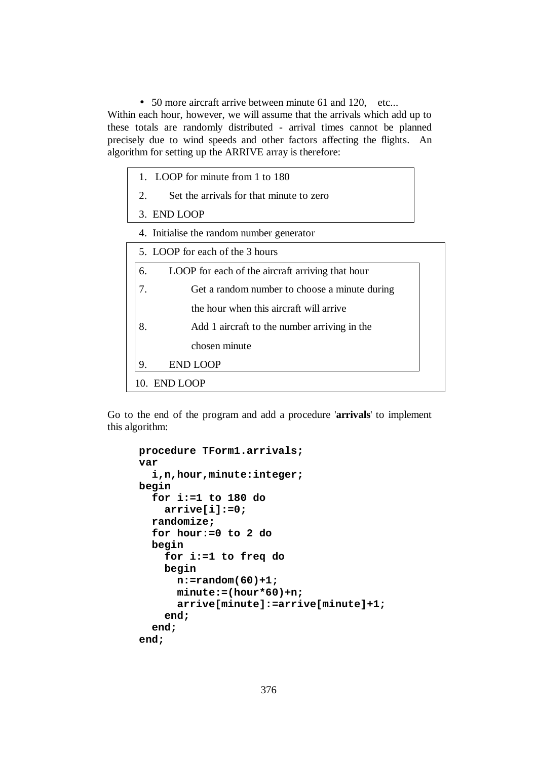• 50 more aircraft arrive between minute 61 and 120, etc...

Within each hour, however, we will assume that the arrivals which add up to these totals are randomly distributed - arrival times cannot be planned precisely due to wind speeds and other factors affecting the flights. An algorithm for setting up the ARRIVE array is therefore:

- 1. LOOP for minute from 1 to 180
- 2. Set the arrivals for that minute to zero
- 3. END LOOP
- 4. Initialise the random number generator

| 6. | LOOP for each of the aircraft arriving that hour |
|----|--------------------------------------------------|
| 7. | Get a random number to choose a minute during    |
|    | the hour when this aircraft will arrive          |
| 8. | Add 1 aircraft to the number arriving in the     |
|    | chosen minute                                    |
| 9. | END LOOP                                         |

Go to the end of the program and add a procedure '**arrivals**' to implement this algorithm:

```
procedure TForm1.arrivals; 
var 
   i,n,hour,minute:integer; 
begin 
   for i:=1 to 180 do 
     arrive[i]:=0; 
   randomize; 
   for hour:=0 to 2 do 
   begin 
     for i:=1 to freq do 
     begin 
       n:=random(60)+1; 
       minute:=(hour*60)+n; 
       arrive[minute]:=arrive[minute]+1; 
     end; 
   end; 
end;
```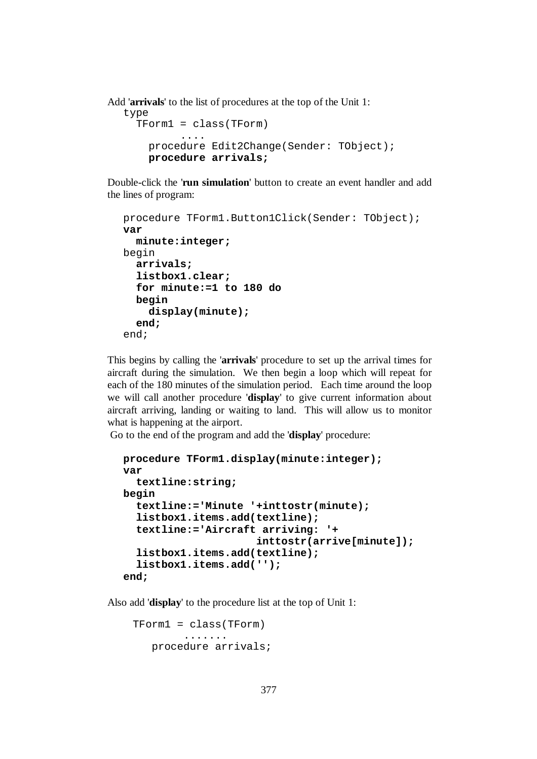Add '**arrivals**' to the list of procedures at the top of the Unit 1:

```
type 
  TForm1 = class(TForm) 
 .... 
    procedure Edit2Change(Sender: TObject); 
    procedure arrivals;
```
Double-click the '**run simulation**' button to create an event handler and add the lines of program:

```
procedure TForm1.Button1Click(Sender: TObject); 
var 
   minute:integer; 
begin 
   arrivals; 
   listbox1.clear; 
   for minute:=1 to 180 do 
   begin 
     display(minute); 
   end; 
end;
```
This begins by calling the '**arrivals**' procedure to set up the arrival times for aircraft during the simulation. We then begin a loop which will repeat for each of the 180 minutes of the simulation period. Each time around the loop we will call another procedure '**display**' to give current information about aircraft arriving, landing or waiting to land. This will allow us to monitor what is happening at the airport.

Go to the end of the program and add the '**display**' procedure:

```
procedure TForm1.display(minute:integer); 
var 
   textline:string; 
begin 
   textline:='Minute '+inttostr(minute); 
   listbox1.items.add(textline); 
   textline:='Aircraft arriving: '+ 
                        inttostr(arrive[minute]); 
   listbox1.items.add(textline); 
   listbox1.items.add(''); 
end;
```
Also add '**display**' to the procedure list at the top of Unit 1:

```
 TForm1 = class(TForm) 
          ....... 
    procedure arrivals;
```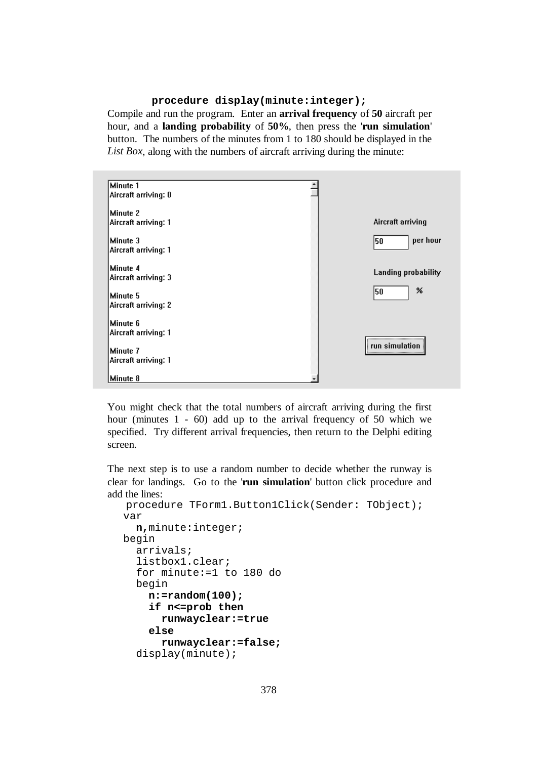#### **procedure display(minute:integer);**

Compile and run the program. Enter an **arrival frequency** of **50** aircraft per hour, and a **landing probability** of **50%**, then press the '**run simulation**' button. The numbers of the minutes from 1 to 180 should be displayed in the *List Box*, along with the numbers of aircraft arriving during the minute:



You might check that the total numbers of aircraft arriving during the first hour (minutes 1 - 60) add up to the arrival frequency of 50 which we specified. Try different arrival frequencies, then return to the Delphi editing screen.

The next step is to use a random number to decide whether the runway is clear for landings. Go to the '**run simulation**' button click procedure and add the lines:

```
procedure TForm1.Button1Click(Sender: TObject); 
var 
   n,minute:integer; 
begin 
   arrivals; 
   listbox1.clear; 
   for minute:=1 to 180 do 
   begin 
     n:=random(100); 
     if n<=prob then 
        runwayclear:=true 
     else 
        runwayclear:=false; 
   display(minute);
```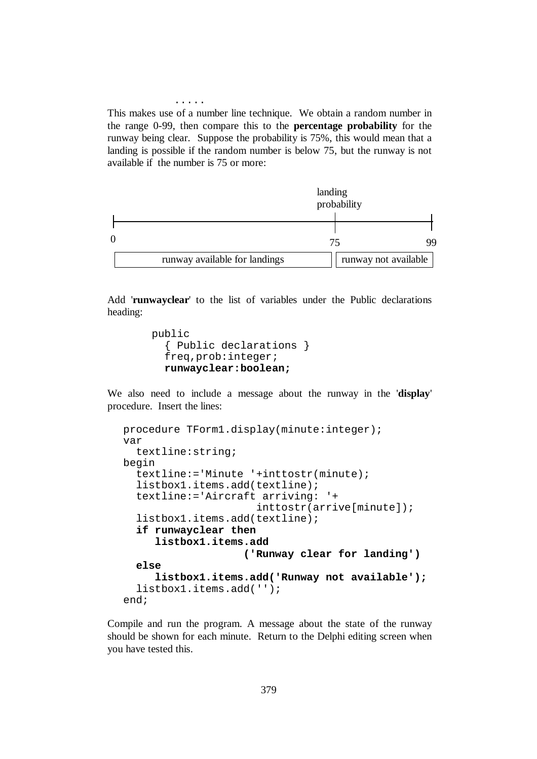This makes use of a number line technique. We obtain a random number in the range 0-99, then compare this to the **percentage probability** for the runway being clear. Suppose the probability is 75%, this would mean that a landing is possible if the random number is below 75, but the runway is not available if the number is 75 or more:

.....

|                               | landing | probability          |  |
|-------------------------------|---------|----------------------|--|
|                               |         |                      |  |
|                               |         |                      |  |
|                               |         |                      |  |
| runway available for landings |         | runway not available |  |

Add '**runwayclear**' to the list of variables under the Public declarations heading:

```
 public 
   { Public declarations } 
   freq,prob:integer; 
   runwayclear:boolean;
```
We also need to include a message about the runway in the '**display**' procedure. Insert the lines:

```
procedure TForm1.display(minute:integer); 
var 
   textline:string; 
begin 
   textline:='Minute '+inttostr(minute); 
   listbox1.items.add(textline); 
   textline:='Aircraft arriving: '+ 
                        inttostr(arrive[minute]); 
   listbox1.items.add(textline); 
   if runwayclear then 
      listbox1.items.add 
                      ('Runway clear for landing') 
   else 
      listbox1.items.add('Runway not available'); 
   listbox1.items.add(''); 
end;
```
Compile and run the program. A message about the state of the runway should be shown for each minute. Return to the Delphi editing screen when you have tested this.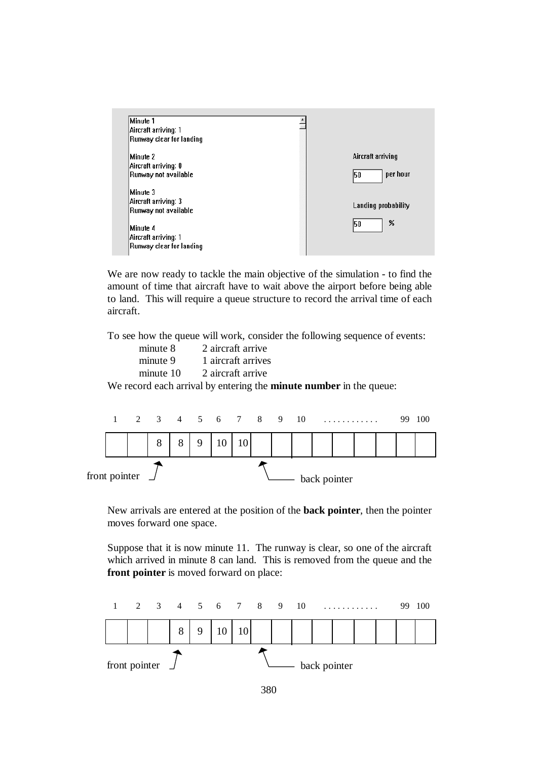

We are now ready to tackle the main objective of the simulation - to find the amount of time that aircraft have to wait above the airport before being able to land. This will require a queue structure to record the arrival time of each aircraft.

To see how the queue will work, consider the following sequence of events:

| minute 8  | 2 aircraft arrive                    |
|-----------|--------------------------------------|
| minute 9  | 1 aircraft arrives                   |
| minute 10 | 2 aircraft arrive                    |
|           | cond cools quirrel by ontain a those |

We record each arrival by entering the **minute number** in the queue:



New arrivals are entered at the position of the **back pointer**, then the pointer moves forward one space.

Suppose that it is now minute 11. The runway is clear, so one of the aircraft which arrived in minute 8 can land. This is removed from the queue and the **front pointer** is moved forward on place:

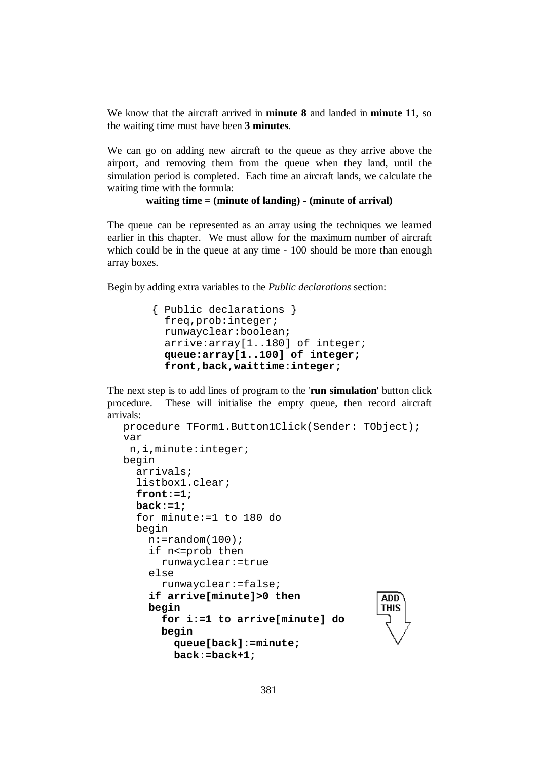We know that the aircraft arrived in **minute 8** and landed in **minute 11**, so the waiting time must have been **3 minutes**.

We can go on adding new aircraft to the queue as they arrive above the airport, and removing them from the queue when they land, until the simulation period is completed. Each time an aircraft lands, we calculate the waiting time with the formula:

```
 waiting time = (minute of landing) - (minute of arrival)
```
The queue can be represented as an array using the techniques we learned earlier in this chapter. We must allow for the maximum number of aircraft which could be in the queue at any time - 100 should be more than enough array boxes.

Begin by adding extra variables to the *Public declarations* section:

```
 { Public declarations } 
   freq,prob:integer; 
  runwayclear:boolean; 
   arrive:array[1..180] of integer; 
  queue:array[1..100] of integer; 
   front,back,waittime:integer;
```
The next step is to add lines of program to the '**run simulation**' button click procedure. These will initialise the empty queue, then record aircraft arrivals:

```
procedure TForm1.Button1Click(Sender: TObject); 
var 
  n,i,minute:integer; 
begin 
   arrivals; 
   listbox1.clear; 
   front:=1; 
   back:=1; 
   for minute:=1 to 180 do 
   begin 
    n:=random(100);
     if n<=prob then 
        runwayclear:=true 
     else 
        runwayclear:=false; 
      if arrive[minute]>0 then 
                                                 ADD<sup>-</sup>
                                                 THIS
     begin 
        for i:=1 to arrive[minute] do 
        begin 
          queue[back]:=minute; 
          back:=back+1;
```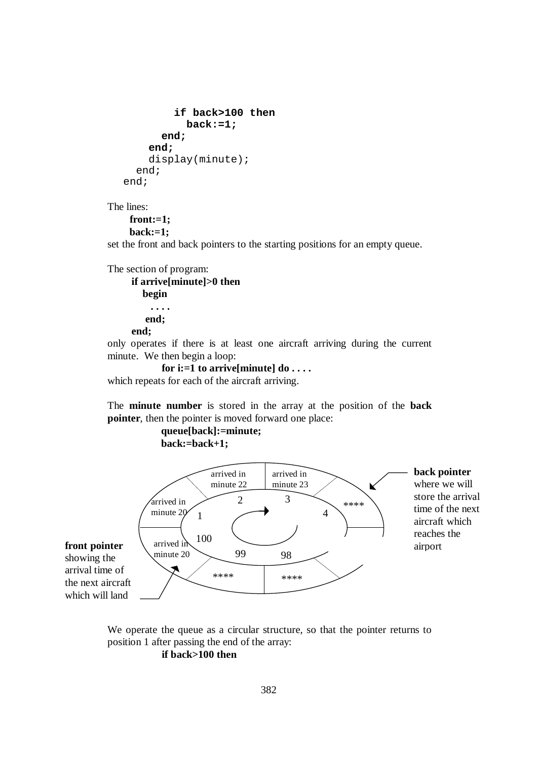```
 if back>100 then 
             back:=1; 
        end; 
      end; 
      display(minute); 
   end; 
end;
```
The lines:

**front:=1; back:=1;**

set the front and back pointers to the starting positions for an empty queue.

```
The section of program:
```
 **if arrive[minute]>0 then begin . . . . end; end;** 

only operates if there is at least one aircraft arriving during the current minute. We then begin a loop:

```
 for i:=1 to arrive[minute] do . . . . 
which repeats for each of the aircraft arriving.
```
The **minute number** is stored in the array at the position of the **back pointer**, then the pointer is moved forward one place:

> **queue[back]:=minute; back:=back+1;**



showing the arrival time of the next aircraft which will land

> We operate the queue as a circular structure, so that the pointer returns to position 1 after passing the end of the array:  **if back>100 then**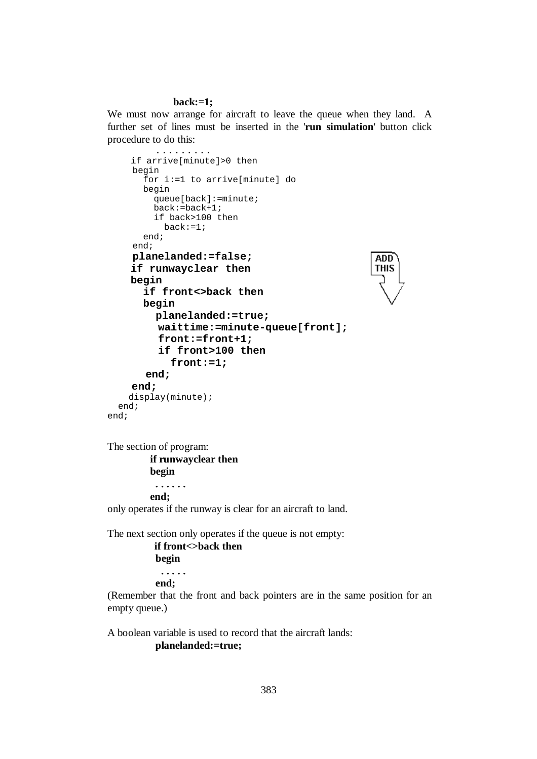#### **back:=1;**

We must now arrange for aircraft to leave the queue when they land. A further set of lines must be inserted in the '**run simulation**' button click procedure to do this:

```
 ......... 
     if arrive[minute]>0 then 
     begin 
        for i:=1 to arrive[minute] do 
        begin 
          queue[back]:=minute; 
          back:=back+1; 
          if back>100 then 
           back:=1; end; 
      end; 
      planelanded:=false; 
                                                       ADD
     if runwayclear then 
                                                       THIS
     begin 
        if front<>back then 
        begin 
          planelanded:=true; 
           waittime:=minute-queue[front]; 
           front:=front+1; 
           if front>100 then 
             front:=1; 
        end; 
     end; 
     display(minute); 
   end; 
end;
```
The section of program:  **if runwayclear then begin . . . . . . end;**  only operates if the runway is clear for an aircraft to land.

The next section only operates if the queue is not empty:

```
 if front<>back then 
 begin 
  . . . . . 
 end;
```
(Remember that the front and back pointers are in the same position for an empty queue.)

A boolean variable is used to record that the aircraft lands:  **planelanded:=true;**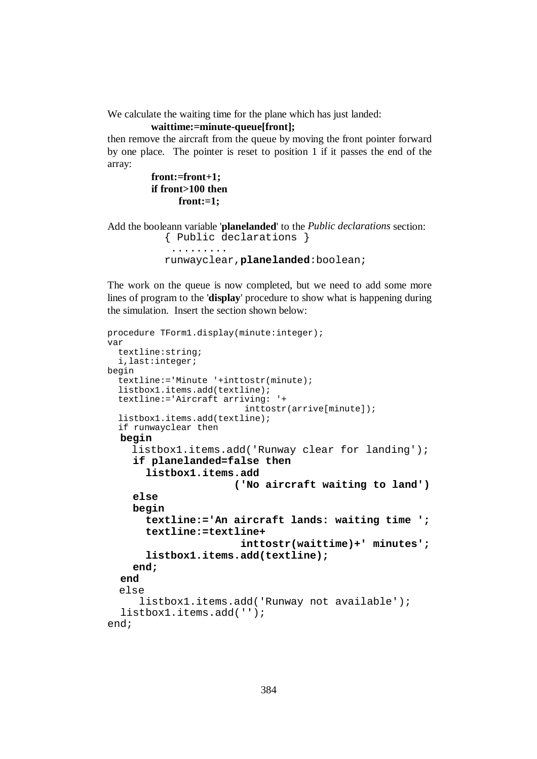We calculate the waiting time for the plane which has just landed:

```
 waittime:=minute-queue[front];
```
then remove the aircraft from the queue by moving the front pointer forward by one place. The pointer is reset to position 1 if it passes the end of the array:

```
 front:=front+1; 
 if front>100 then 
        front:=1;
```
Add the booleann variable '**planelanded**' to the *Public declarations* section: { Public declarations }

```
 ......... 
 runwayclear,planelanded:boolean;
```
The work on the queue is now completed, but we need to add some more lines of program to the '**display**' procedure to show what is happening during the simulation. Insert the section shown below:

```
procedure TForm1.display(minute:integer); 
var 
   textline:string; 
   i,last:integer; 
begin 
   textline:='Minute '+inttostr(minute); 
   listbox1.items.add(textline); 
   textline:='Aircraft arriving: '+ 
                           inttostr(arrive[minute]);
   listbox1.items.add(textline); 
   if runwayclear then 
   begin 
     listbox1.items.add('Runway clear for landing'); 
     if planelanded=false then 
        listbox1.items.add 
                         ('No aircraft waiting to land')
     else 
     begin 
        textline:='An aircraft lands: waiting time ';
        textline:=textline+ 
                          inttostr(waittime)+' minutes';
        listbox1.items.add(textline); 
     end; 
   end 
  else 
       listbox1.items.add('Runway not available'); 
   listbox1.items.add(''); 
end;
```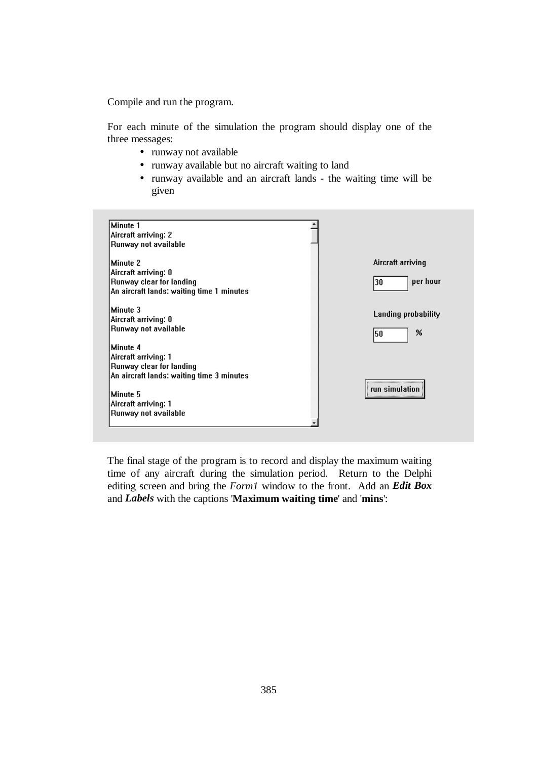Compile and run the program.

For each minute of the simulation the program should display one of the three messages:

- runway not available
- runway available but no aircraft waiting to land
- runway available and an aircraft lands the waiting time will be given

| Minute 1                                  |                     |
|-------------------------------------------|---------------------|
| Aircraft arriving: 2                      |                     |
| Runway not available                      |                     |
| Minute 2                                  | Aircraft arriving   |
| Aircraft arriving: 0                      |                     |
| Runway clear for landing                  | per hour<br>30      |
| An aircraft lands: waiting time 1 minutes |                     |
| Minute 3                                  |                     |
| Aircraft arriving: 0                      | Landing probability |
| Runway not available                      | %<br>50             |
| Minute 4                                  |                     |
| Aircraft arriving: 1                      |                     |
| Runway clear for landing                  |                     |
| An aircraft lands: waiting time 3 minutes |                     |
|                                           | run simulation      |
| Minute 5                                  |                     |
| Aircraft arriving: 1                      |                     |
| Runway not available                      |                     |
|                                           |                     |

The final stage of the program is to record and display the maximum waiting time of any aircraft during the simulation period. Return to the Delphi editing screen and bring the *Form1* window to the front. Add an *Edit Box*  and *Labels* with the captions '**Maximum waiting time**' and '**mins**':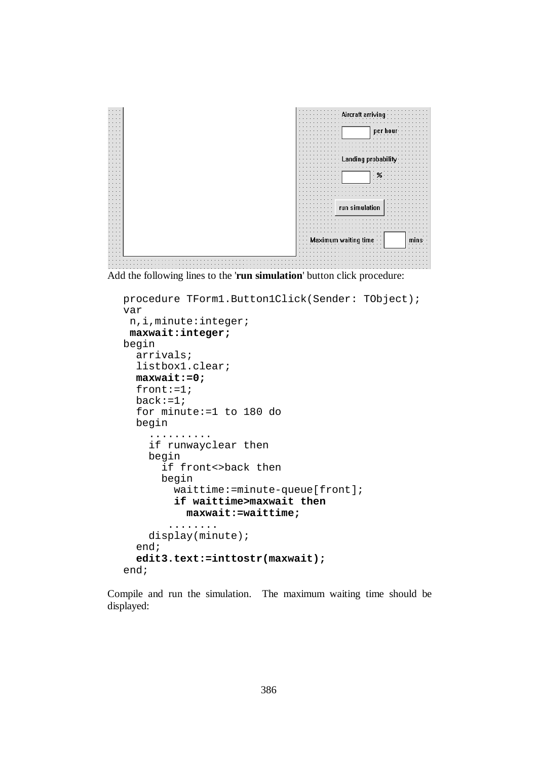

Add the following lines to the '**run simulation**' button click procedure:

```
procedure TForm1.Button1Click(Sender: TObject); 
var 
  n,i,minute:integer; 
  maxwait:integer; 
begin 
   arrivals; 
   listbox1.clear; 
   maxwait:=0; 
   front:=1; 
   back:=1; 
   for minute:=1 to 180 do 
   begin 
      .......... 
     if runwayclear then 
     begin 
       if front<>back then
       begin 
          waittime:=minute-queue[front]; 
          if waittime>maxwait then 
            maxwait:=waittime; 
         ........ 
     display(minute); 
   end; 
   edit3.text:=inttostr(maxwait); 
end;
```
Compile and run the simulation. The maximum waiting time should be displayed: